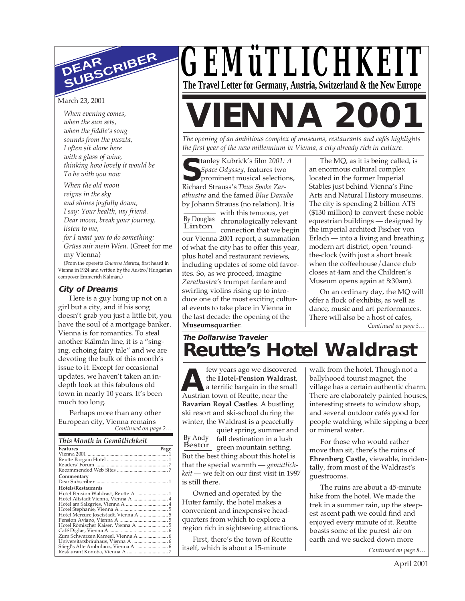# **DEAR SUBSCRIBER**

#### March 23, 2001

*When evening comes, when the sun sets, when the fiddle's song sounds from the puszta, I often sit alone here with a glass of wine, thinking how lovely it would be To be with you now*

*When the old moon reigns in the sky and shines joyfully down, I say: Your health, my friend. Dear moon, break your journey, listen to me, for I want you to do something: Grüss mir mein Wien.* (Greet for me

my Vienna)

(From the operetta *Countess Maritza*, first heard in Vienna in 1924 and written by the Austro/Hungarian composer Emmerich Kálmán.)

#### **City of Dreams**

Here is a guy hung up not on a girl but a city, and if his song doesn't grab you just a little bit, you have the soul of a mortgage banker. Vienna is for romantics. To steal another Kálmán line, it is a "singing, echoing fairy tale" and we are devoting the bulk of this month's issue to it. Except for occasional updates, we haven't taken an indepth look at this fabulous old town in nearly 10 years. It's been much too long.

*Continued on page 2…* Perhaps more than any other European city, Vienna remains

| This Month in Gemütlichkeit         |      |  |
|-------------------------------------|------|--|
| Features                            | Page |  |
|                                     |      |  |
|                                     |      |  |
|                                     |      |  |
|                                     |      |  |
| Commentary                          |      |  |
|                                     |      |  |
| Hotels/Restaurants                  |      |  |
| Hotel Pension Waldrast, Reutte A  1 |      |  |
| Hotel Altstadt Vienna, Vienna A  4  |      |  |
| Hotel am Salzgries, Vienna A  4     |      |  |
|                                     |      |  |
|                                     |      |  |
|                                     |      |  |
|                                     |      |  |
|                                     |      |  |
|                                     |      |  |
|                                     |      |  |
|                                     |      |  |
|                                     |      |  |
|                                     |      |  |



## **VIENNA 200**

*The opening of an ambitious complex of museums, restaurants and cafés highlights the first year of the new millennium in Vienna, a city already rich in culture.*

**S**Space Odyssey, features two<br>
prominent musical selection<br>
Richard Strauss's *Thus Spoke Zar*tanley Kubrick's film *2001: A Space Odyssey,* features two prominent musical selections, *athustra* and the famed *Blue Danube* by Johann Strauss (no relation). It is

with this tenuous, yet By Douglas chronologically relevant Linton<br>Linton connection that we begin our Vienna 2001 report, a summation of what the city has to offer this year, plus hotel and restaurant reviews, including updates of some old favorites. So, as we proceed, imagine *Zarathustra's* trumpet fanfare and swirling violins rising up to introduce one of the most exciting cultural events to take place in Vienna in the last decade: the opening of the **Museumsquartier**.

The MQ, as it is being called, is an enormous cultural complex located in the former Imperial Stables just behind Vienna's Fine Arts and Natural History museums. The city is spending 2 billion ATS (\$130 million) to convert these noble equestrian buildings — designed by the imperial architect Fischer von Erlach — into a living and breathing modern art district, open 'roundthe-clock (with just a short break when the coffeehouse/dance club closes at 4am and the Children's Museum opens again at 8:30am).

On an ordinary day, the MQ will offer a flock of exhibits, as well as dance, music and art performances. There will also be a host of cafes,

*Continued on page 3…*

## **The Dollarwise Traveler Reutte's Hotel Waldrast**

**ALC** the Hotel-Pension Waldra<br>
Austrian town of Reutte, near the few years ago we discovered the **Hotel-Pension Waldrast**, a terrific bargain in the small **Bavarian Royal Castles**. A bustling ski resort and ski-school during the winter, the Waldrast is a peacefully

By Andy Bestor green mountain setting. quiet spring, summer and fall destination in a lush But the best thing about this hotel is that the special warmth — *gemütlichkeit* — we felt on our first visit in 1997 is still there.

Owned and operated by the Huter family, the hotel makes a convenient and inexpensive headquarters from which to explore a region rich in sightseeing attractions.

First, there's the town of Reutte itself, which is about a 15-minute

walk from the hotel. Though not a ballyhooed tourist magnet, the village has a certain authentic charm. There are elaborately painted houses, interesting streets to window shop, and several outdoor cafés good for people watching while sipping a beer or mineral water.

For those who would rather move than sit, there's the ruins of **Ehrenberg Castle,** viewable, incidentally, from most of the Waldrast's guestrooms.

The ruins are about a 45-minute hike from the hotel. We made the trek in a summer rain, up the steepest ascent path we could find and enjoyed every minute of it. Reutte boasts some of the purest air on earth and we sucked down more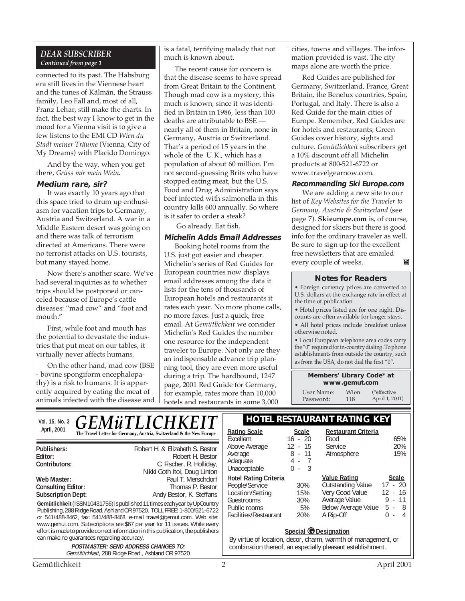#### *DEAR SUBSCRIBER Continued from page 1*

connected to its past. The Habsburg era still lives in the Viennese heart and the tunes of Kálmán, the Strauss family, Leo Fall and, most of all, Franz Lehar, still make the charts. In fact, the best way I know to get in the mood for a Vienna visit is to give a few listens to the EMI CD *Wien du Stadt meiner Träume* (Vienna, City of My Dreams) with Placido Domingo.

And by the way, when you get there, *Grüss mir mein Wein*.

#### **Medium rare, sir?**

It was exactly 10 years ago that this space tried to drum up enthusiasm for vacation trips to Germany, Austria and Switzerland. A war in a Middle Eastern desert was going on and there was talk of terrorism directed at Americans. There were no terrorist attacks on U.S. tourists, but many stayed home.

Now there's another scare. We've had several inquiries as to whether trips should be postponed or canceled because of Europe's cattle diseases: "mad cow" and "foot and mouth."

First, while foot and mouth has the potential to devastate the industries that put meat on our tables, it virtually never affects humans.

On the other hand, mad cow (BSE - bovine spongiform encephalopathy) is a risk to humans. It is apparently acquired by eating the meat of animals infected with the disease and

can make no guarantees regarding accuracy.

is a fatal, terrifying malady that not much is known about.

The recent cause for concern is that the disease seems to have spread from Great Britain to the Continent. Though mad cow is a mystery, this much *is* known; since it was identified in Britain in 1986, less than 100 deaths are attributable to BSE nearly all of them in Britain, none in Germany, Austria or Switzerland. That's a period of 15 years in the whole of the U.K., which has a population of about 60 million. I'm not second-guessing Brits who have stopped eating meat, but the U.S. Food and Drug Administration says beef infected with salmonella in this country kills 600 annually. So where is it safer to order a steak?

Go already. Eat fish.

#### **Michelin Adds Email Addresses**

Booking hotel rooms from the U.S. just got easier and cheaper. Michelin's series of Red Guides for European countries now displays email addresses among the data it lists for the tens of thousands of European hotels and restaurants it rates each year. No more phone calls, no more faxes. Just a quick, free email. At *Gemütlichkeit* we consider Michelin's Red Guides the number one resource for the independent traveler to Europe. Not only are they an indispensable advance trip planning tool, they are even more useful during a trip. The hardbound, 1247 page, 2001 Red Guide for Germany, for example, rates more than 10,000 hotels and restaurants in some 3,000

cities, towns and villages. The information provided is vast. The city maps alone are worth the price.

Red Guides are published for Germany, Switzerland, France, Great Britain, the Benelux countries, Spain, Portugal, and Italy. There is also a Red Guide for the main cities of Europe. Remember, Red Guides are for hotels and restaurants; Green Guides cover history, sights and culture. *Gemütlichkeit* subscribers get a 10% discount off all Michelin products at 800-521-6722 or www.travelgearnow.com.

#### **Recommending Ski Europe.com**

We are adding a new site to our list of *Key Websites for the Traveler to Germany, Austria & Switzerland* (see page 7). **Skieurope.com** is, of course, designed for skiers but there is good info for the ordinary traveler as well. Be sure to sign up for the excellent free newsletters that are emailed every couple of weeks. $\mathbf{M}$ 

#### **Notes for Readers**

• Foreign currency prices are converted to U.S. dollars at the exchange rate in effect at the time of publication.

• Hotel prices listed are for one night. Discounts are often available for longer stays.

• All hotel prices include breakfast unless otherwise noted.

• Local European telephone area codes carry the "0" required for in-country dialing. To phone establishments from outside the country, such as from the USA, do not dial the first "0".

> **Members' Library Code\* at www.gemut.com**

User Name: Wien<br>Password: 118 Password: (\*effective April 1, 2001)

**Vol. 15, No. 3 C E M ii TI I C H K E I T** | **HOTEL RESTAURANT RATING KEY** April, 2001 **Ration Contract Contract Contract Contract Contract Contract Contract Contract Contract Contract Contract Contract Contract Contract Contract Contract Contract Contract Contract Contract Contract Contract Cont** *GEMüTLICHKEIT*

**Gemütlichkeit** (ISSN 10431756) is published 11 times each year by UpCountry Publishing, 288 Ridge Road, Ashland OR 97520. TOLL FREE: 1-800/521-6722 or 541/488-8462, fax: 541/488-8468, e-mail travel@gemut.com. Web site: www.gemut.com. Subscriptions are \$67 per year for 11 issues. While every effort is made to provide correct information in this publication, the publishers **Publishers:** Robert H. & Elizabeth S. Bestor **Editor:** Robert H. Bestor **C.** Fischer, R. Holliday, Nikki Goth Itoi, Doug Linton **Web Master:** Paul T. Merschdorf Consulting Editor: **Paul T. Merschdorf** Consulting Editor: **Consulting Editor: Subscription Dept:** Andy Bestor, K. Steffans

> **POSTMASTER: SEND ADDRESS CHANGES TO:** Gemütlichkeit, 288 Ridge Road., Ashland OR 97520

| <b>Rating Scale</b><br>Excellent<br>Above Average<br>Average<br>Adequate<br>Unacceptable                                  | <b>Scale</b><br>$16 - 20$<br>$12 - 15$<br>8 - 11<br>4 - 7<br>$\Omega$ -<br>$\overline{\phantom{a}}$ | <b>Restaurant Criteria</b><br>Food<br>Service<br>Atmosphere                                                             | 65%<br>20%<br>15%                                                                      |
|---------------------------------------------------------------------------------------------------------------------------|-----------------------------------------------------------------------------------------------------|-------------------------------------------------------------------------------------------------------------------------|----------------------------------------------------------------------------------------|
| <b>Hotel Rating Criteria</b><br>People/Service<br>Location/Setting<br>Guestrooms<br>Public rooms<br>Facilities/Restaurant | 30%<br>15%<br>30%<br>5%<br>20%                                                                      | <b>Value Rating</b><br><b>Outstanding Value</b><br>Very Good Value<br>Average Value<br>Below Average Value<br>A Rip-Off | <b>Scale</b><br>$17 - 20$<br>$12 - 16$<br>$9 - 11$<br>$5 -$<br>- 8<br>U<br>$\sim$<br>4 |

#### **Special © Designation**

By virtue of location, decor, charm, warmth of management, or combination thereof, an especially pleasant establishment.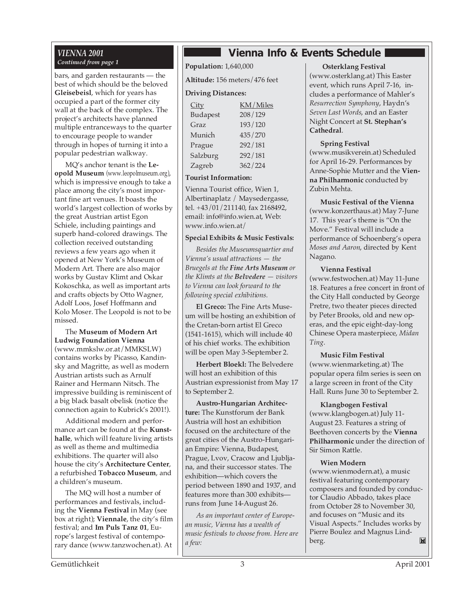#### *VIENNA 2001 Continued from page 1*

bars, and garden restaurants — the best of which should be the beloved **Gleisebeisl**, which for years has occupied a part of the former city wall at the back of the complex. The project's architects have planned multiple entranceways to the quarter to encourage people to wander through in hopes of turning it into a popular pedestrian walkway.

MQ's anchor tenant is the **Leopold Museum** (www.leopolmuseum.org), which is impressive enough to take a place among the city's most important fine art venues. It boasts the world's largest collection of works by the great Austrian artist Egon Schiele, including paintings and superb hand-colored drawings. The collection received outstanding reviews a few years ago when it opened at New York's Museum of Modern Art. There are also major works by Gustav Klimt and Oskar Kokoschka, as well as important arts and crafts objects by Otto Wagner, Adolf Loos, Josef Hoffmann and Kolo Moser. The Leopold is not to be missed.

The **Museum of Modern Art Ludwig Foundation Vienna** (www.mmkslw.or.at/MMKSLW) contains works by Picasso, Kandinsky and Magritte, as well as modern Austrian artists such as Arnulf Rainer and Hermann Nitsch. The impressive building is reminiscent of a big black basalt obelisk (notice the connection again to Kubrick's 2001!).

Additional modern and performance art can be found at the **Kunsthalle**, which will feature living artists as well as theme and multimedia exhibitions. The quarter will also house the city's **Architecture Center**, a refurbished **Tobacco Museum**, and a children's museum.

The MQ will host a number of performances and festivals, including the **Vienna Festival** in May (see box at right); **Viennale**, the city's film festival; and **Im Puls Tanz 01**, Europe's largest festival of contemporary dance (www.tanzwochen.at). At

### **Vienna Info & Events Schedule**

**Population:** 1,640,000

**Altitude:** 156 meters/476 feet

#### **Driving Distances:**

| <u>City</u>     | KM/Miles |
|-----------------|----------|
| <b>Budapest</b> | 208/129  |
| Graz            | 193/120  |
| Munich          | 435/270  |
| Prague          | 292/181  |
| Salzburg        | 292/181  |
| Zagreb          | 362/224  |

#### **Tourist Information:**

Vienna Tourist office, Wien 1, Albertinaplatz / Maysedergasse, tel. +43/01/211140, fax 2168492, email: info@info.wien.at, Web: www.info.wien.at/

#### **Special Exhibits & Music Festivals:**

*Besides the Museumsquartier and Vienna's usual attractions — the Bruegels at the Fine Arts Museum or the Klimts at the Belvedere — visitors to Vienna can look forward to the following special exhibitions.*

**El Greco:** The Fine Arts Museum will be hosting an exhibition of the Cretan-born artist El Greco (1541-1615), which will include 40 of his chief works. The exhibition will be open May 3-September 2.

**Herbert Bloekl:** The Belvedere will host an exhibition of this Austrian expressionist from May 17 to September 2.

**Austro-Hungarian Architecture:** The Kunstforum der Bank Austria will host an exhibition focused on the architecture of the great cities of the Austro-Hungarian Empire: Vienna, Budapest, Prague, Lvov, Cracow and Ljubljana, and their successor states. The exhibition—which covers the period between 1890 and 1937, and features more than 300 exhibits runs from June 14-August 26.

*As an important center of European music, Vienna has a wealth of music festivals to choose from. Here are a few:*

#### **Osterklang Festival**

(www.osterklang.at) This Easter event, which runs April 7-16, includes a performance of Mahler's *Resurrection Symphony*, Haydn's *Seven Last Words*, and an Easter Night Concert at **St. Stephan's Cathedral**.

#### **Spring Festival**

(www.musikverein.at) Scheduled for April 16-29. Performances by Anne-Sophie Mutter and the **Vienna Philharmonic** conducted by Zubin Mehta.

#### **Music Festival of the Vienna**

(www.konzerthaus.at) May 7-June 17. This year's theme is "On the Move." Festival will include a performance of Schoenberg's opera *Moses and Aaron*, directed by Kent Nagano.

#### **Vienna Festival**

(www.festwochen.at) May 11-June 18. Features a free concert in front of the City Hall conducted by George Pretre, two theater pieces directed by Peter Brooks, old and new operas, and the epic eight-day-long Chinese Opera masterpiece, *Midan Ting*.

#### **Music Film Festival**

(www.wienmarketing.at) The popular opera film series is seen on a large screen in front of the City Hall. Runs June 30 to September 2.

#### **Klangbogen Festival**

(www.klangbogen.at) July 11- August 23. Features a string of Beethoven concerts by the **Vienna Philharmonic** under the direction of Sir Simon Rattle.

#### **Wien Modern**

(www.wienmodern.at), a music festival featuring contemporary composers and founded by conductor Claudio Abbado, takes place from October 28 to November 30, and focuses on "Music and its Visual Aspects." Includes works by Pierre Boulez and Magnus Lind- $\mathbf{M}$ berg.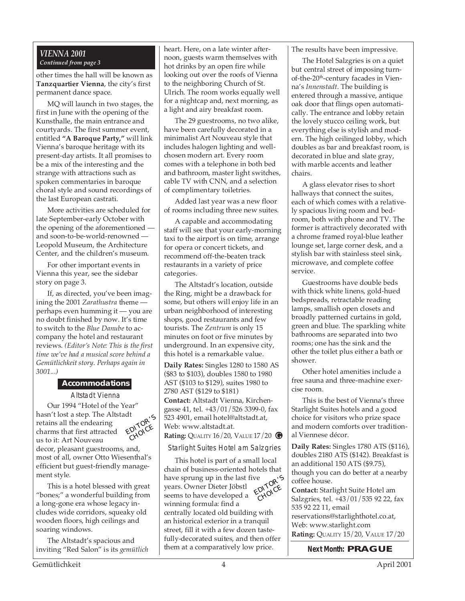#### *VIENNA 2001 Continued from page 3*

other times the hall will be known as **Tanzquartier Vienna**, the city's first permanent dance space.

MQ will launch in two stages, the first in June with the opening of the Kunsthalle, the main entrance and courtyards. The first summer event, entitled **"A Baroque Party,"** will link Vienna's baroque heritage with its present-day artists. It all promises to be a mix of the interesting and the strange with attractions such as spoken commentaries in baroque choral style and sound recordings of the last European castrati.

More activities are scheduled for late September-early October with the opening of the aforementioned and soon-to-be-world-renowned — Leopold Museum, the Architecture Center, and the children's museum.

For other important events in Vienna this year, see the sidebar story on page 3.

If, as directed, you've been imagining the 2001 *Zarathustra* theme perhaps even humming it — you are no doubt finished by now. It's time to switch to the *Blue Danube* to accompany the hotel and restaurant reviews. *(Editor's Note: This is the first time we've had a musical score behind a Gemütlichkeit story. Perhaps again in 3001...)*

#### **Accommodations**

Altstadt Vienna

Our 1994 "Hotel of the Year" hasn't lost a step. The Altstadt retains all the endearing charms that first attracted us to it: Art Nouveau



decor, pleasant guestrooms, and, most of all, owner Otto Wiesenthal's efficient but guest-friendly management style.

This is a hotel blessed with great "bones;" a wonderful building from a long-gone era whose legacy includes wide corridors, squeaky old wooden floors, high ceilings and soaring windows.

The Altstadt's spacious and inviting "Red Salon" is its *gemütlich* heart. Here, on a late winter afternoon, guests warm themselves with hot drinks by an open fire while looking out over the roofs of Vienna to the neighboring Church of St. Ulrich. The room works equally well for a nightcap and, next morning, as a light and airy breakfast room.

The 29 guestrooms, no two alike, have been carefully decorated in a minimalist Art Nouveau style that includes halogen lighting and wellchosen modern art. Every room comes with a telephone in both bed and bathroom, master light switches, cable TV with CNN, and a selection of complimentary toiletries.

Added last year was a new floor of rooms including three new suites.

A capable and accommodating staff will see that your early-morning taxi to the airport is on time, arrange for opera or concert tickets, and recommend off-the-beaten track restaurants in a variety of price categories.

The Altstadt's location, outside the Ring, might be a drawback for some, but others will enjoy life in an urban neighborhood of interesting shops, good restaurants and few tourists. The *Zentrum* is only 15 minutes on foot or five minutes by underground. In an expensive city, this hotel is a remarkable value.

**Daily Rates:** Singles 1280 to 1580 AS (\$83 to \$103), doubles 1580 to 1980 AST (\$103 to \$129), suites 1980 to 2780 AST (\$129 to \$181) **Contact:** Altstadt Vienna, Kirchengasse 41, tel. +43/01/526 3399-0, fax 523 4901, email hotel@altstadt.at, Web: www.altstadt.at. **Rating:** QUALITY 16/20, VALUE 17/20 **G**

Starlight Suites Hotel am Salzgries

This hotel is part of a small local chain of business-oriented hotels that have sprung up in the last five years. Owner Dieter Jöbstl seems to have developed a winning formula: find a centrally located old building with an historical exterior in a tranquil street, fill it with a few dozen tastefully-decorated suites, and then offer them at a comparatively low price. <sup>Ve</sup> EDITOR'S CHOICE

The results have been impressive.

The Hotel Salzgries is on a quiet but central street of imposing turnof-the-20<sup>th</sup>-century facades in Vienna's *Innenstadt*. The building is entered through a massive, antique oak door that flings open automatically. The entrance and lobby retain the lovely stucco ceiling work, but everything else is stylish and modern. The high ceilinged lobby, which doubles as bar and breakfast room, is decorated in blue and slate gray, with marble accents and leather chairs.

A glass elevator rises to short hallways that connect the suites, each of which comes with a relatively spacious living room and bedroom, both with phone and TV. The former is attractively decorated with a chrome framed royal-blue leather lounge set, large corner desk, and a stylish bar with stainless steel sink, microwave, and complete coffee service.

Guestrooms have double beds with thick white linens, gold-hued bedspreads, retractable reading lamps, smallish open closets and broadly patterned curtains in gold, green and blue. The sparkling white bathrooms are separated into two rooms; one has the sink and the other the toilet plus either a bath or shower.

Other hotel amenities include a free sauna and three-machine exercise room.

This is the best of Vienna's three Starlight Suites hotels and a good choice for visitors who prize space and modern comforts over traditional Viennese décor.

**Daily Rates:** Singles 1780 ATS (\$116), doubles 2180 ATS (\$142). Breakfast is an additional 150 ATS (\$9.75), though you can do better at a nearby coffee house.

**Contact:** Starlight Suite Hotel am Salzgries, tel. +43/01/535 92 22, fax 535 92 22 11, email reservations@starlighthotel.co.at, Web: www.starlight.com **Rating:** QUALITY 15/20, VALUE 17/20

**Next Month: PRAGUE**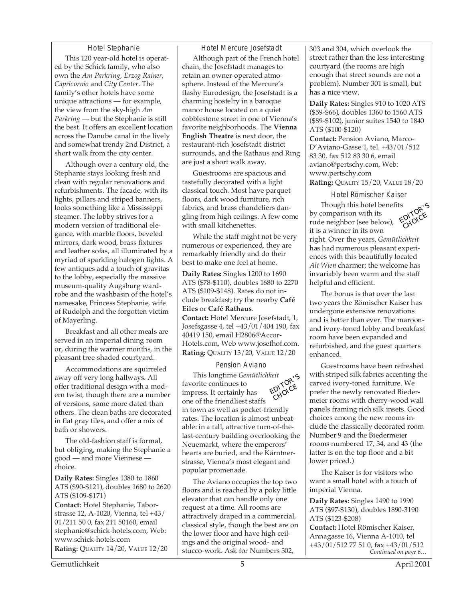#### Hotel Stephanie This 120 year-old hotel is operated by the Schick family, who also own the *Am Parkring*, *Erzog Rainer*, *Capricornio* and *City Center*. The family's other hotels have some unique attractions — for example, the view from the sky-high *Am Parkring* — but the Stephanie is still the best. It offers an excellent location across the Danube canal in the lively and somewhat trendy 2nd District, a

short walk from the city center.

Although over a century old, the Stephanie stays looking fresh and clean with regular renovations and refurbishments. The facade, with its lights, pillars and striped banners, looks something like a Mississippi steamer. The lobby strives for a modern version of traditional elegance, with marble floors, beveled mirrors, dark wood, brass fixtures and leather sofas, all illuminated by a myriad of sparkling halogen lights. A few antiques add a touch of gravitas to the lobby, especially the massive museum-quality Augsburg wardrobe and the washbasin of the hotel's namesake, Princess Stephanie, wife of Rudolph and the forgotten victim of Mayerling.

Breakfast and all other meals are served in an imperial dining room or, during the warmer months, in the pleasant tree-shaded courtyard.

Accommodations are squirreled away off very long hallways. All offer traditional design with a modern twist, though there are a number of versions, some more dated than others. The clean baths are decorated in flat gray tiles, and offer a mix of bath or showers.

The old-fashion staff is formal, but obliging, making the Stephanie a good — and more Viennese choice.

**Daily Rates:** Singles 1380 to 1860 ATS (\$90-\$121), doubles 1680 to 2620 ATS (\$109-\$171)

**Contact:** Hotel Stephanie, Taborstrasse 12, A-1020, Vienna, tel +43/ 01/211 50 0, fax 211 50160, email stephanie@schick-hotels.com, Web: www.schick-hotels.com **Rating:** QUALITY 14/20, VALUE 12/20 Hotel Mercure Josefstadt

Although part of the French hotel chain, the Josefstadt manages to retain an owner-operated atmosphere. Instead of the Mercure's flashy Eurodesign, the Josefstadt is a charming hostelry in a baroque manor house located on a quiet cobblestone street in one of Vienna's favorite neighborhoods. The **Vienna English Theatre** is next door, the restaurant-rich Josefstadt district surrounds, and the Rathaus and Ring are just a short walk away.

Guestrooms are spacious and tastefully decorated with a light classical touch. Most have parquet floors, dark wood furniture, rich fabrics, and brass chandeliers dangling from high ceilings. A few come with small kitchenettes.

While the staff might not be very numerous or experienced, they are remarkably friendly and do their best to make one feel at home.

**Daily Rates:** Singles 1200 to 1690 ATS (\$78-\$110), doubles 1680 to 2270 ATS (\$109-\$148). Rates do not include breakfast; try the nearby **Café Eiles** or **Café Rathaus**.

**Contact:** Hotel Mercure Josefstadt, 1, Josefsgasse 4, tel +43/01/404 190, fax 40419 150, email H2806@Accor-Hotels.com, Web www.josefhof.com. **Rating:** QUALITY 13/20, VALUE 12/20

#### Pension Aviano

This longtime *Gemütlichkeit* favorite continues to impress. It certainly has one of the friendliest staffs in town as well as pocket-friendly rates. The location is almost unbeatable: in a tall, attractive turn-of-thelast-century building overlooking the Neuemarkt, where the emperors' hearts are buried, and the Kärntnerstrasse, Vienna's most elegant and popular promenade. EDITOR'<sup>S</sup> CHOICE

The Aviano occupies the top two floors and is reached by a poky little elevator that can handle only one request at a time. All rooms are attractively draped in a commercial, classical style, though the best are on the lower floor and have high ceilings and the original wood- and stucco-work. Ask for Numbers 302,

303 and 304, which overlook the street rather than the less interesting courtyard (the rooms are high enough that street sounds are not a problem). Number 301 is small, but has a nice view.

**Daily Rates:** Singles 910 to 1020 ATS (\$59-\$66), doubles 1360 to 1560 ATS (\$89-\$102), junior suites 1540 to 1840 ATS (\$100-\$120)

**Contact:** Pension Aviano, Marco-D'Aviano-Gasse 1, tel. +43/01/512 83 30, fax 512 83 30 6, email aviano@pertschy.com, Web: www.pertschy.com **Rating:** QUALITY 15/20, VALUE 18/20

Hotel Römischer Kaiser Though this hotel benefits by comparison with its rude neighbor (see below), it is a winner in its own right. Over the years, *Gemütlichkeit* has had numerous pleasant experi-EDITOR'S **CHOICE** 

ences with this beautifully located *Alt Wien* charmer; the welcome has invariably been warm and the staff helpful and efficient.

The bonus is that over the last two years the Römischer Kaiser has undergone extensive renovations and is better than ever. The maroonand ivory-toned lobby and breakfast room have been expanded and refurbished, and the guest quarters enhanced.

Guestrooms have been refreshed with striped silk fabrics accenting the carved ivory-toned furniture. We prefer the newly renovated Biedermeier rooms with cherry-wood wall panels framing rich silk insets. Good choices among the new rooms include the classically decorated room Number 9 and the Biedermeier rooms numbered 17, 34, and 43 (the latter is on the top floor and a bit lower priced.)

The Kaiser is for visitors who want a small hotel with a touch of imperial Vienna.

**Daily Rates:** Singles 1490 to 1990 ATS (\$97-\$130), doubles 1890-3190 ATS (\$123-\$208)

*Continued on page 6…* **Contact:** Hotel Römischer Kaiser, Annagasse 16, Vienna A-1010, tel +43/01/512 77 51 0, fax +43/01/512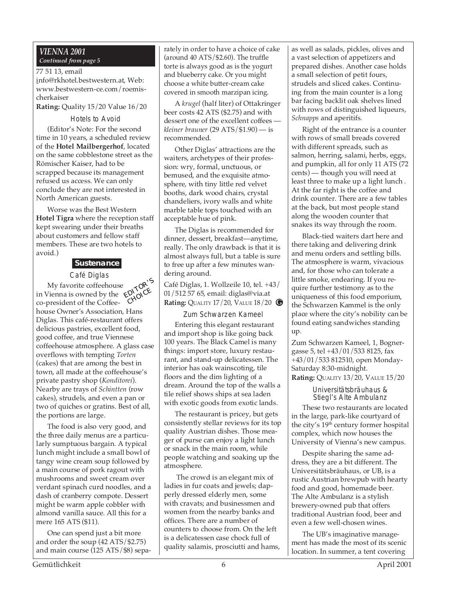#### *VIENNA 2001 Continued from page 5*

#### 77 51 13, email

info@rkhotel.bestwestern.at, Web: www.bestwestern-ce.com/roemischerkaiser

**Rating:** Quality 15/20 Value 16/20

#### Hotels to Avoid

(Editor's Note: For the second time in 10 years, a scheduled review of the **Hotel Mailbergerhof**, located on the same cobblestone street as the Römischer Kaiser, had to be scrapped because its management refused us access. We can only conclude they are not interested in North American guests.

Worse was the Best Western **Hotel Tigra** where the reception staff kept swearing under their breaths about customers and fellow staff members. These are two hotels to avoid.)

### **Sustenance**

Café Diglas

My favorite coffeehouse in Vienna is owned by the co-president of the Coffeehouse Owner's Association, Hans Diglas. This café-restaurant offers delicious pastries, excellent food, good coffee, and true Viennese coffeehouse atmosphere. A glass case overflows with tempting *Torten* (cakes) that are among the best in town, all made at the coffeehouse's private pastry shop (*Konditorei*). Nearby are trays of *Schintten* (row cakes), strudels, and even a pan or two of quiches or gratins. Best of all, the portions are large. EDITOR'S **CHOICE** 

The food is also very good, and the three daily menus are a particularly sumptuous bargain. A typical lunch might include a small bowl of tangy wine cream soup followed by a main course of pork ragout with mushrooms and sweet cream over verdant spinach curd noodles, and a dash of cranberry compote. Dessert might be warm apple cobbler with almond vanilla sauce. All this for a mere 165 ATS (\$11).

One can spend just a bit more and order the soup (42 ATS/\$2.75) and main course (125 ATS/\$8) separately in order to have a choice of cake (around 40 ATS/\$2.60). The truffle torte is always good as is the yogurt and blueberry cake. Or you might choose a white butter-cream cake covered in smooth marzipan icing.

A *krugel* (half liter) of Ottakringer beer costs 42 ATS (\$2.75) and with dessert one of the excellent coffees *kleiner brauner* (29 ATS/\$1.90) — is recommended.

Other Diglas' attractions are the waiters, archetypes of their profession: wry, formal, unctuous, or bemused, and the exquisite atmosphere, with tiny little red velvet booths, dark wood chairs, crystal chandeliers, ivory walls and white marble table tops touched with an acceptable hue of pink.

The Diglas is recommended for dinner, dessert, breakfast—anytime, really. The only drawback is that it is almost always full, but a table is sure to free up after a few minutes wandering around.

Café Diglas, 1. Wollzeile 10, tel. +43/ 01/512 57 65, email: diglas@via.at **Rating:** QUALITY 17/20, VALUE 18/20 **G**

Zum Schwarzen Kameel Entering this elegant restaurant and import shop is like going back 100 years. The Black Camel is many things: import store, luxury restaurant, and stand-up delicatessen. The interior has oak wainscoting, tile floors and the dim lighting of a dream. Around the top of the walls a tile relief shows ships at sea laden with exotic goods from exotic lands.

The restaurant is pricey, but gets consistently stellar reviews for its top quality Austrian dishes. Those meager of purse can enjoy a light lunch or snack in the main room, while people watching and soaking up the atmosphere.

 The crowd is an elegant mix of ladies in fur coats and jewels; dapperly dressed elderly men, some with cravats; and businessmen and women from the nearby banks and offices. There are a number of counters to choose from. On the left is a delicatessen case chock full of quality salamis, prosciutti and hams, as well as salads, pickles, olives and a vast selection of appetizers and prepared dishes. Another case holds a small selection of petit fours, strudels and sliced cakes. Continuing from the main counter is a long bar facing backlit oak shelves lined with rows of distinguished liqueurs, *Schnapps* and aperitifs.

Right of the entrance is a counter with rows of small breads covered with different spreads, such as salmon, herring, salami, herbs, eggs, and pumpkin, all for only 11 ATS (72 cents) — though you will need at least three to make up a light lunch . At the far right is the coffee and drink counter. There are a few tables at the back, but most people stand along the wooden counter that snakes its way through the room.

Black-tied waiters dart here and there taking and delivering drink and menu orders and settling bills. The atmosphere is warm, vivacious and, for those who can tolerate a little smoke, endearing. If you require further testimony as to the uniqueness of this food emporium, the Schwarzen Kammel is the only place where the city's nobility can be found eating sandwiches standing up.

Zum Schwarzen Kameel, 1, Bognergasse 5, tel +43/01/533 8125, fax +43/01/533 812510, open Monday-Saturday 8:30-midnight. **Rating:** QUALITY 13/20, VALUE 15/20

> Universitätsbräuhaus & Stiegl's Alte Ambulanz

These two restaurants are located in the large, park-like courtyard of the city's 19<sup>th</sup> century former hospital complex, which now houses the University of Vienna's new campus.

Despite sharing the same address, they are a bit different. The Universitätsbräuhaus, or UB, is a rustic Austrian brewpub with hearty food and good, homemade beer. The Alte Ambulanz is a stylish brewery-owned pub that offers traditional Austrian food, beer and even a few well-chosen wines.

The UB's imaginative management has made the most of its scenic location. In summer, a tent covering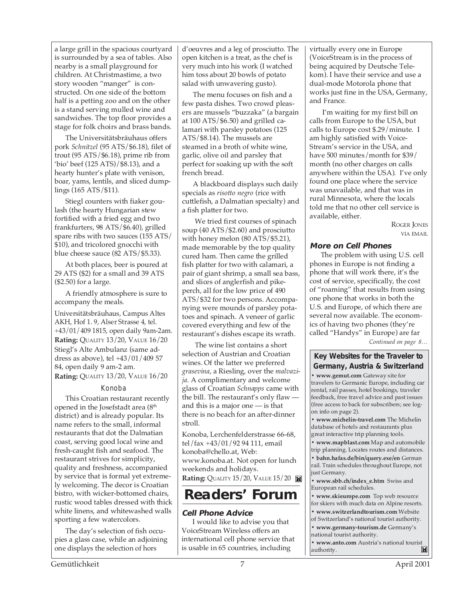a large grill in the spacious courtyard is surrounded by a sea of tables. Also nearby is a small playground for children. At Christmastime, a two story wooden "manger" is constructed. On one side of the bottom half is a petting zoo and on the other is a stand serving mulled wine and sandwiches. The top floor provides a stage for folk choirs and brass bands.

The Universitätsbräuhaus offers pork *Schnitzel* (95 ATS/\$6.18), filet of trout (95 ATS/\$6.18), prime rib from 'bio' beef (125 ATS)/\$8.13), and a hearty hunter's plate with venison, boar, yams, lentils, and sliced dumplings (165 ATS/\$11).

Stiegl counters with fiaker goulash (the hearty Hungarian stew fortified with a fried egg and two frankfurters, 98 ATS/\$6.40), grilled spare ribs with two sauces (155 ATS/ \$10), and tricolored gnocchi with blue cheese sauce (82 ATS/\$5.33).

At both places, beer is poured at 29 ATS (\$2) for a small and 39 ATS (\$2.50) for a large.

A friendly atmosphere is sure to accompany the meals.

Universitätsbräuhaus, Campus Altes AKH, Hof 1. 9, Alser Strasse 4, tel. +43/01/409 1815, open daily 9am-2am. **Rating:** QUALITY 13/20, VALUE 16/20 Stiegl's Alte Ambulanz (same address as above), tel +43/01/409 57 84, open daily 9 am-2 am. **Rating:** QUALITY 13/20, VALUE 16/20

#### Konoba

This Croatian restaurant recently opened in the Josefstadt area (8<sup>th</sup> district) and is already popular. Its name refers to the small, informal restaurants that dot the Dalmatian coast, serving good local wine and fresh-caught fish and seafood. The restaurant strives for simplicity, quality and freshness, accompanied by service that is formal yet extremely welcoming. The decor is Croatian bistro, with wicker-bottomed chairs, rustic wood tables dressed with thick white linens, and whitewashed walls sporting a few watercolors.

The day's selection of fish occupies a glass case, while an adjoining one displays the selection of hors

d'oeuvres and a leg of prosciutto. The open kitchen is a treat, as the chef is very much into his work (I watched him toss about 20 bowls of potato salad with unwavering gusto).

The menu focuses on fish and a few pasta dishes. Two crowd pleasers are mussels "buzzaka" (a bargain at 100 ATS/\$6.50) and grilled calamari with parsley potatoes (125 ATS/\$8.14). The mussels are steamed in a broth of white wine, garlic, olive oil and parsley that perfect for soaking up with the soft french bread.

A blackboard displays such daily specials as *risotto negro* (rice with cuttlefish, a Dalmatian specialty) and a fish platter for two.

 We tried first courses of spinach soup (40 ATS/\$2.60) and prosciutto with honey melon (80 ATS/\$5.21), made memorable by the top quality cured ham. Then came the grilled fish platter for two with calamari, a pair of giant shrimp, a small sea bass, and slices of anglerfish and pikeperch, all for the low price of 490 ATS/\$32 for two persons. Accompanying were mounds of parsley potatoes and spinach. A veneer of garlic covered everything and few of the restaurant's dishes escape its wrath.

 The wine list contains a short selection of Austrian and Croatian wines. Of the latter we preferred *grasevina*, a Riesling, over the *malvazija*. A complimentary and welcome glass of Croatian *Schnapps* came with the bill. The restaurant's only flaw and this is a major one — is that there is no beach for an after-dinner stroll.

Konoba, Lerchenfelderstrasse 66-68, tel/fax +43/01/92 94 111, email konoba@chello.at, Web: www.konoba.at. Not open for lunch weekends and holidays. **Rating: QUALITY 15/20, VALUE 15/20** 

## **Readers' Forum**

#### **Cell Phone Advice**

I would like to advise you that VoiceStream Wireless offers an international cell phone service that is usable in 65 countries, including

virtually every one in Europe (VoiceStream is in the process of being acquired by Deutsche Telekom). I have their service and use a dual-mode Motorola phone that works just fine in the USA, Germany, and France.

 I'm waiting for my first bill on calls from Europe to the USA, but calls to Europe cost \$.29/minute. I am highly satisfied with Voice-Stream's service in the USA, and have 500 minutes/month for \$39/ month (no other charges on calls anywhere within the USA). I've only found one place where the service was unavailable, and that was in rural Minnesota, where the locals told me that no other cell service is available, either.

ROGER JONES VIA EMAIL

#### **More on Cell Phones**

The problem with using U.S. cell phones in Europe is not finding a phone that will work there, it's the cost of service, specifically, the cost of "roaming" that results from using one phone that works in both the U.S. and Europe, of which there are several now available. The economics of having two phones (they're called "Handys" in Europe) are far

*Continued on page 8…*

#### **Key Websites for the Traveler to Germany, Austria & Switzerland**

**• www.gemut.com** Gateway site for travelers to Germanic Europe, including car rental, rail passes, hotel bookings, traveler feedback, free travel advice and past issues (free access to back for subscribers; see logon info on page 2).

**• www.michelin-travel.com** The Michelin database of hotels and restaurants plus great interactive trip planning tools.

**• www.mapblast.com** Map and automobile trip planning. Locates routes and distances.

**• bahn.hafas.de/bin/query.exe/en** German rail. Train schedules throughout Europe, not just Germany.

**• www.sbb.ch/index\_e.htm** Swiss and European rail schedules.

**• www.skieurope.com** Top web resource for skiers with much data on Alpine resorts.

**• www.switzerlandtourism.com** Website

of Switzerland's national tourist authority. **• www.germany-tourism.de** Germany's

national tourist authority.

**• www.anto.com** Austria's national tourist authority. authority.